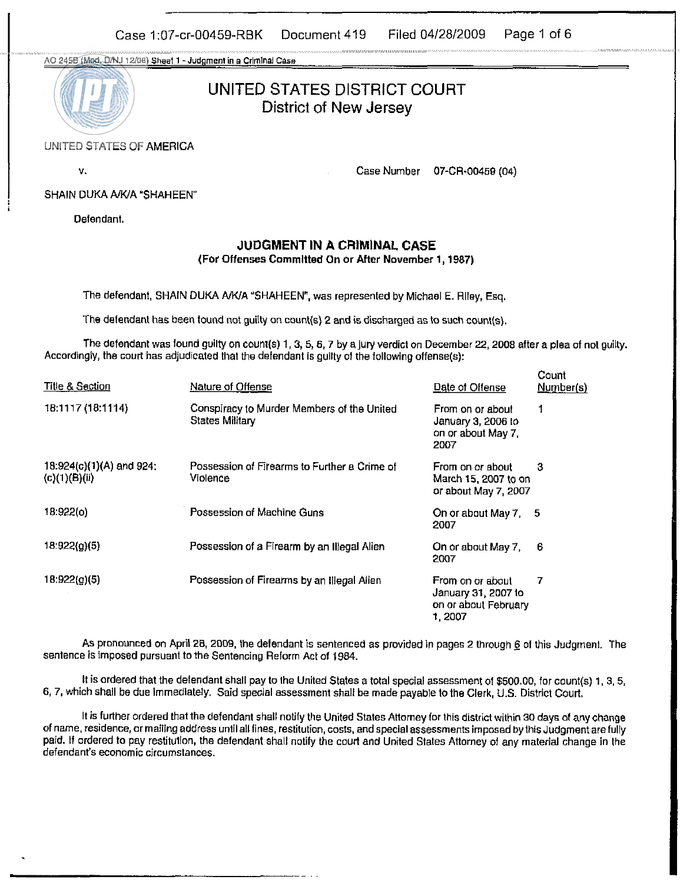Case 1:07-cr-00459-RBK Document 419 Filed 04/28/2009 Page 1 of 6

**A0 2450** (Mod. **&NJ 1206)** sneat 1 - **Jddgmenl** in **a Crmlnal Case** 



UNITED STATES DISTRICT COURT District of New Jersey

## UNITED STATES OF AMERICA

v.

Case Number 07-CR-0045B (04)

Count

#### SHAIN DUKA A/K/A \*SHAHEEN"

Defendant.

### **JUDGMENT IN** A **CRIMINAL** CASE (For **Offenses** Committed **On** or After November 1,1987)

The defendant, SHAIN DUKA A/K/A "SHAHEEN", was represented by Michael E. Riley, Esq.

The defendant has been found not guilty on count(s) 2 and is discharged as to such count(s).

The defendant was found guilty on count(s) 1, 3, 5, 6, 7 by a jury verdict on December 22, 2008 after a plea of not guilty. Accordingly, the court has adjudicated that tho defendant is guilty of the following offense(s):

| <b>Title &amp; Section</b>                | Nature of Offense                                             | Date of Offense                                                           | ----<br>Number(s) |
|-------------------------------------------|---------------------------------------------------------------|---------------------------------------------------------------------------|-------------------|
| 18:1117 (18:1114)                         | Conspiracy to Murder Members of the United<br>States Military | From on or about<br>January 3, 2006 to<br>on or about May 7,<br>2007      |                   |
| 18:924(c)(1)(A) and 924:<br>(c)(1)(B)(ii) | Possession of Firearms to Further a Crime of<br>Violence      | From on or about<br>March 15, 2007 to on<br>or about May 7, 2007          | 3                 |
| 18:922(c)                                 | Possession of Machine Guns                                    | On or about May 7, 5<br>2007                                              |                   |
| 18:922(a)(5)                              | Possession of a Firearm by an Illegal Alien                   | On or about May 7,<br>2007                                                | -6                |
| 18:922(g)(5)                              | Possession of Firearms by an Illegal Alien                    | From on or about<br>January 31, 2007 to<br>on or about February<br>1,2007 | 7                 |

As pronounced on April 28, 2009, the defendant is sentenced as provided in pages 2 through @ **01** this Judgment. The sentence is imposed pursuant to the Sentencing Reform Act of 1984.

It is ordered that the oelendant shall pay to the United States a total special assessment of \$500.00, for counr(s) 1. 3. **5.**  6, 7, which shall be due immediately. Said special assessment shall be made payable to the Clerk, U.S. District Court.

It is further ordered that the defendant shall notify the United States Attorney for this district within 30 days of any Change of name, residence, or mailing address until all fines, restitution, costs, and special assessments imposed by this Judgment are fully paid. If ordered to pay restitution, the defendant shall notify the court and United States Attorney of any material change in the defendant's economic circumstances.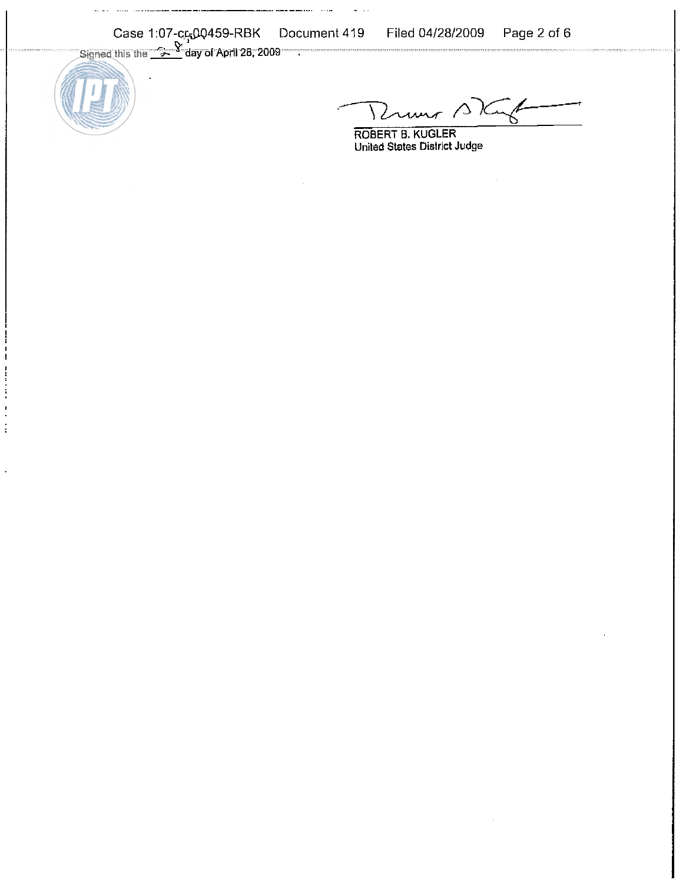Case 1:07-cr500459-RBK Document 419 Filed 04/28/2009 Page 2 of 6

. **.... .....**...



ستستخذ فأعدد

,---KLww *~q-~* 

**ROBERT 5. KUGLER United Slates District Judge**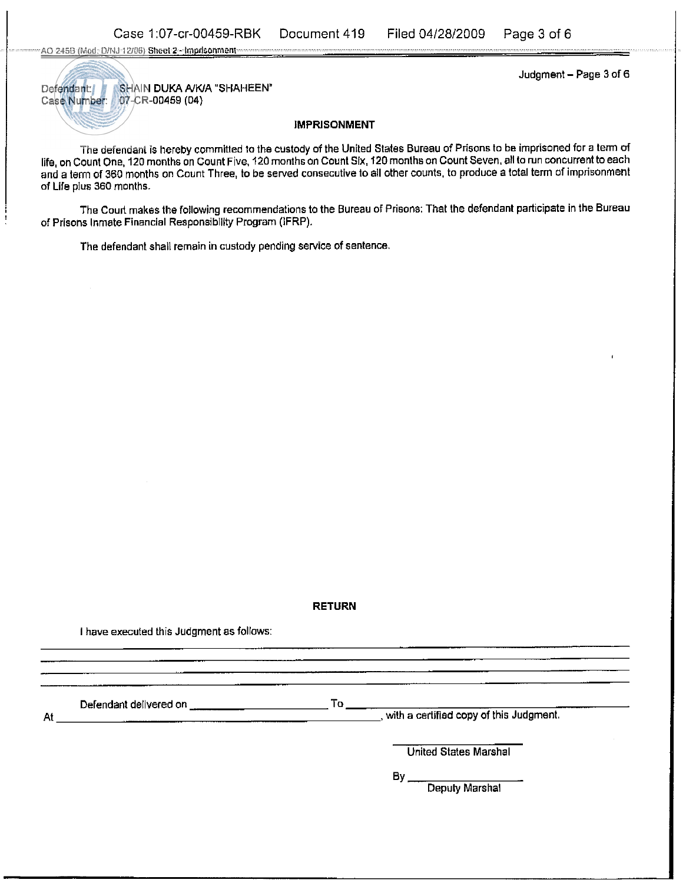AO 245B (Mod. D/NJ-12/06) Sheet 2 - Imprisonment-

Defendant: SHAIN DUKA A/K/A "SHAHEEN" Case Number: 07-CR-00459 (04)

Judgment - Page 3 of 6

#### IMPRISONMENT

The defendant is hereby committed to the custody of the United States Bureau of Prisons to be imprisoned for a term of life, on Count One. 120 months on Count Five. 120 months on Count Six, 120 months on Count Seven. all to run concurrent toeach and a term of 360 months on Count Three, to be served consecutive to all other counts, to produce a total term of imprisonment of Life pius 360 months.

The Court makes the following recommendations to the Bureau of Prisons: That the defendant participate in the Bureau of Prisons Inmate Financial Responsibility Program (IFRP).

The defendant shall remain in custody pending service of sentence.

#### RETURN

I have executed this Judgment as follows:

Defendant delivered on To

At **the contract of the contract of the contract of the contract of the sudgment.** At the certified copy of this Judgment.

United States Marshal

BY

Deputy Marshal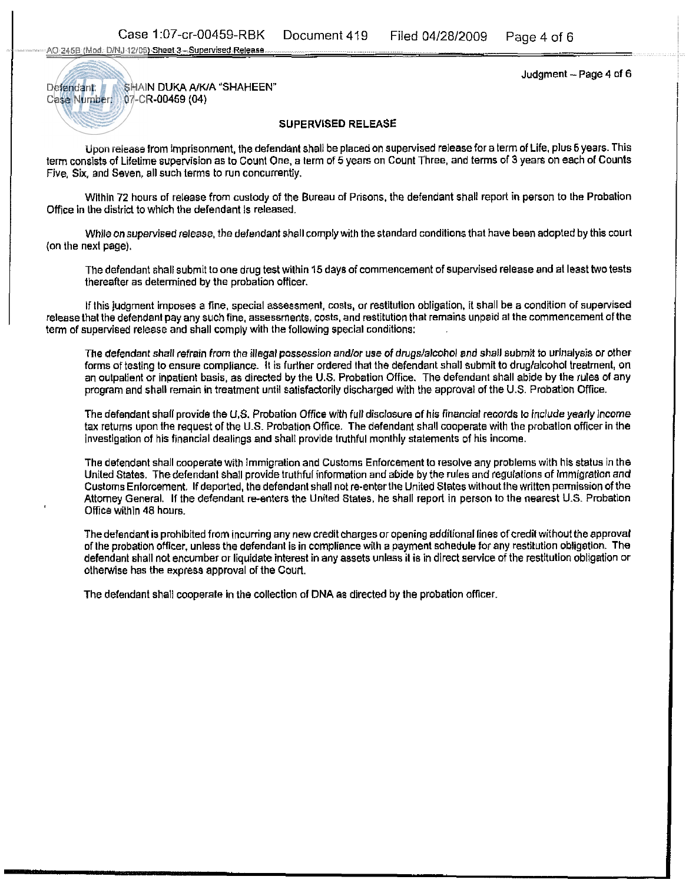**A0 2468** (Mod DlNJ l?lffi) Sheel **3-** Supervised **Releas\*** 

Judgment - Page **4** of 6

# Defendant: SHAIN DUKA A/K/A "SHAHEEN" Case Number: **07-CR-00459 (04)**

## SUPERViSED RELEASE

Upon release from imprisonment, the defendant shall be placed on supervised release for a term of Life, plus 5 years. This term consists of Lifetime supervision as to Count One, a term of 5 years on Count Three, and terms of 3 years on each of Counts Five, Six, and Seven, all such terms to run concurrently.

Within 72 hours of release from custody of the Bureau of Prisons, the defendant shall report in person to the Probation Office in the district to which the defendant is released.

While on supervised release, the defendant shall comply with the standard conditions that have been adopted by this court (on the next page).

The defendant shall submit to one drug test within 15 days of commencement of supervised release and at least two tests thereafter as determined by the probation officer.

lf this judgment imposes a fine, special assessment, costs, or restitution obligation, it shall be a condition of supervised<br>In the defendent pay any such fine, assessments, costs, and restitution that remains unpaid at th term of supervised release and shall comply with the following special conditions:

> The defendant shall refrain from the illegal possession andlor use of drugs/alcohoi and shall submit to urinalysis or other forms of testing to ensure compliance. It is further ordered that the defendant shall submit to drug/alcohol treatment, on an outpatient or inpatient basis, as directed by the U.S. Probation Office. The defendant shall abide by the rules of any program and shall remain in treatment until satisfactorily discharged with the approval of the U.S. Probation Office.

> The defendant shall provide the **U.S.** Probation ORice with full disclosure of his financial records lo include yearly income tax returns upon the request of the U.S. Probation Office. The defendant shall cooperate with the probation officer in the investigation of his financial dealings and shall provide truthful monthly statements of his income.

> The defendant shall cooperate with immigration and Customs Enforcement to resolve any problems with his status in the United States. The defendant shall provide truthful information and abide by the rules and regulations of Immigration and Customs Enforcement. If deported, the defendant shall not re-enter the United States without the written permission of the Attomey General. If the defendant re-enters the United States, he shail report in person to the nearest U.S. Probation Office within **48** hours.

> The defendant is prohibited from incurring any new credit charges or opening additional lines of credit without the approval of the probation offlcer, unless the defendant Is in compliance with a payment sohedule for any restitution obligation. The defendant shall not encumber or liquidate interest in any assets unless it is in direct service of the restitution obligation or otherwise has the express approval of the Court.

The defendant shall cooperate in the collection of DNA as directed by the probation officer.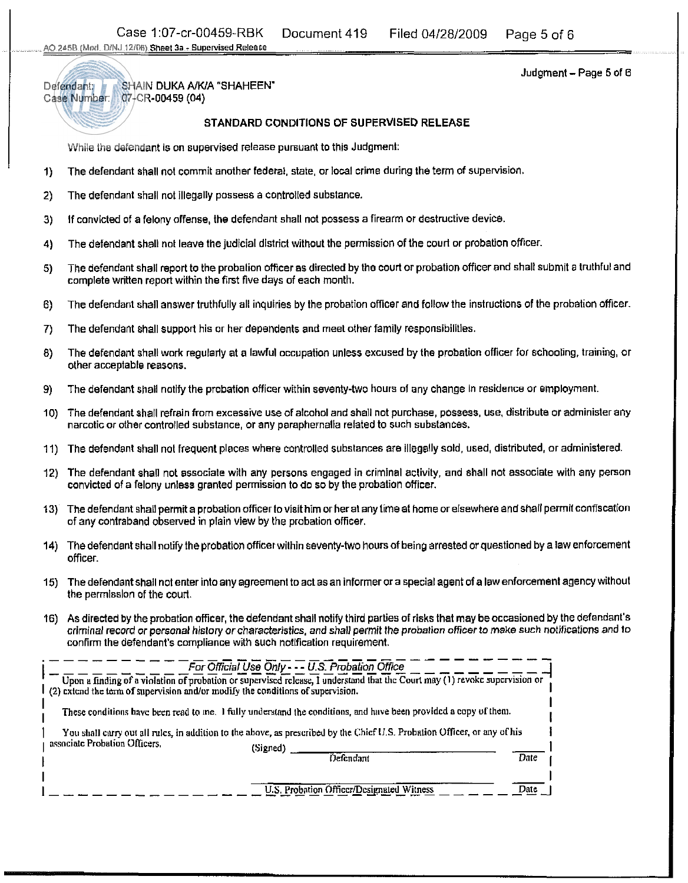Judgment - Page 5 of **<sup>6</sup>**

Defendant: SHAiN DUKA **NWA** "SHAHEEN' Case Number: 07-CR-00459 **(04)** 

## STANDARD CONDITIONS OF SUPERVISED RELEASE

While the defendant is on supervised release pursuant to this Judgment:

- **1)** The defendant shail not commit another federal, state, or local crime during the term of supervision.
- **2)** The defendanl shall not illegally possess a controlled substance.
- 3) If convicted of a felony offense, the defendant shall not possess a firearm or destructive device.
- **4)** The defendant shall not leave the judicial district without the permission of the court or probation officer
- **5)** The defendant shall report to the probation officer as directed by the court or probation ofticer and shall submit a truthful and complete written report within the first five days of each month.
- 6) The defendant shall answer truthfully all inquiries by the probation officer and follow the instructions of the probation officer.
- 7) The defendant shall support his or her dependents and meel other family responsibilities
- **8)** The defendant shall work regulatly at a lawful occupation unless excused by the probation oflicer for schooling, training, or other acceptable reasons.
- **9)** The defendant shall notify the probation officer within seventy-two hours of any change in residence or employment.
- **10)** The defendant shail refrain from excessive use of alcohol and shall not purchase, possess, use, distribute or administer any narcotic or other controlled substance, or any paraphernalia related to such substances. I
- 11) The defendanl shall not frequent places where controlled substances are illegally sold, used, distributed, or administered.
- 12) The defendant shail not associate with any persons engaged in crimlnal aclivity, and shall not associate with any person convicted of a felony unless granted permission to do so by the probation officer.
- 13) The defendant shall permit a probation officer to visit him or her at any timeat home or elsewhere and shall permit confiscation of any contraband observed in plain view by the probation officer.
- **14)** The defendant shail notify the probation officerwithin seventy-two hours of being arrested or questioned by a law enforcement officer.
- **15)** The defendant shall not enter into any agreement to act as an informer or a special agent of a law enforcement agency without the permission of the court.
- **16)** As directed by the probation officer, the defendant shall notify third parties of risks that may beoccasioned by the defendant's criminal record or personal history orcharacteristics, and shall permit the probation officer to make such notifications and to confirm the defendant's compliance with such nolification requirement.

| (2) extend the term of supervision and/or modify the conditions of supervision. | For Official Use Only - -- U.S. Probation Office<br>Upon a finding of a violation of probation or supervised release, I understand that the Court may (1) revoke supervision or                                                               |      |
|---------------------------------------------------------------------------------|-----------------------------------------------------------------------------------------------------------------------------------------------------------------------------------------------------------------------------------------------|------|
|                                                                                 | These conditions have been read to me. I fully understand the conditions, and have been provided a copy of them.<br>You shall carry out all rules, in addition to the above, as prescribed by the Chief U.S. Probation Officer, or any of his |      |
| associate Probation Officers.                                                   | (Signed)                                                                                                                                                                                                                                      |      |
|                                                                                 | Defendant                                                                                                                                                                                                                                     | Date |
|                                                                                 |                                                                                                                                                                                                                                               |      |
|                                                                                 | U.S. Probation Officer/Designated Witness                                                                                                                                                                                                     | Onte |